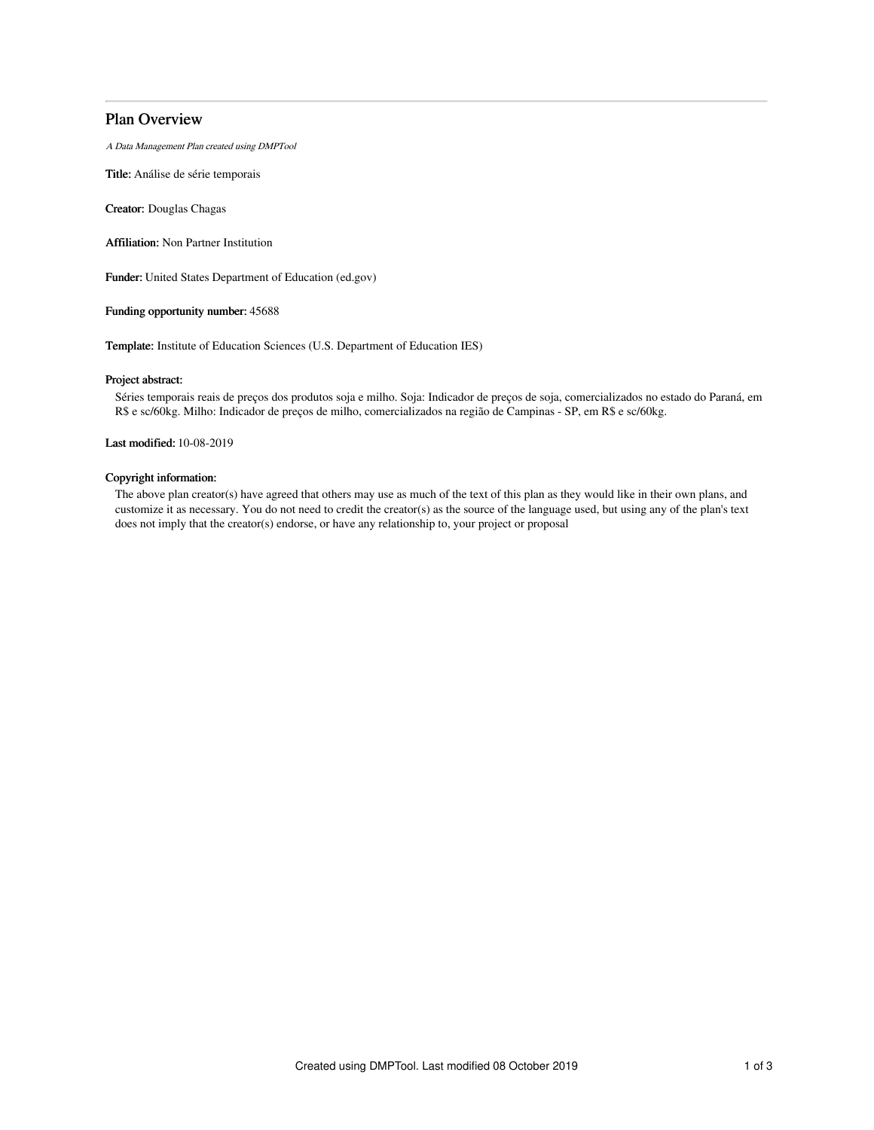# Plan Overview

A Data Management Plan created using DMPTool

Title: Análise de série temporais

Creator: Douglas Chagas

Affiliation: Non Partner Institution

Funder: United States Department of Education (ed.gov)

### Funding opportunity number: 45688

Template: Institute of Education Sciences (U.S. Department of Education IES)

#### Project abstract:

Séries temporais reais de preços dos produtos soja e milho. Soja: Indicador de preços de soja, comercializados no estado do Paraná, em R\$ e sc/60kg. Milho: Indicador de preços de milho, comercializados na região de Campinas - SP, em R\$ e sc/60kg.

Last modified: 10-08-2019

### Copyright information:

The above plan creator(s) have agreed that others may use as much of the text of this plan as they would like in their own plans, and customize it as necessary. You do not need to credit the creator(s) as the source of the language used, but using any of the plan's text does not imply that the creator(s) endorse, or have any relationship to, your project or proposal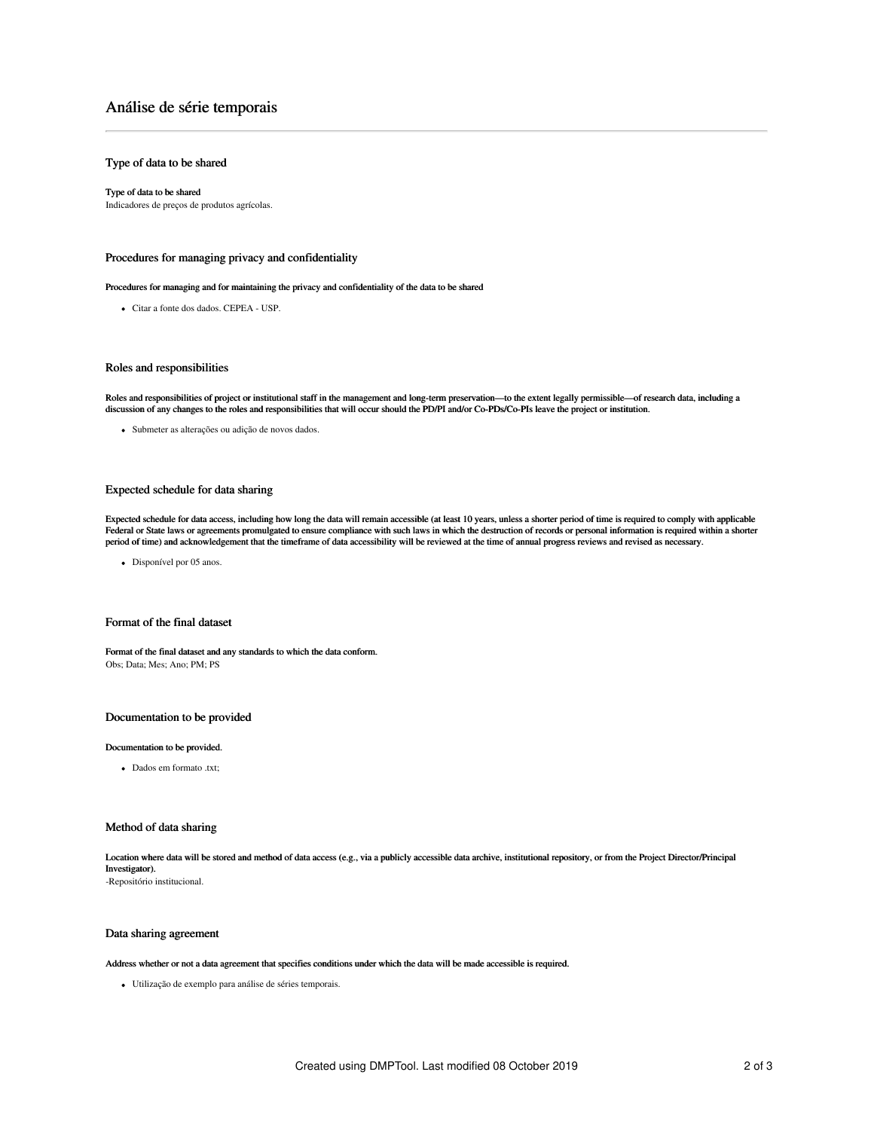# Análise de série temporais

## Type of data to be shared

## Type of data to be shared

Indicadores de preços de produtos agrícolas.

## Procedures for managing privacy and confidentiality

Procedures for managing and for maintaining the privacy and confidentiality of the data to be shared

Citar a fonte dos dados. CEPEA - USP.

#### Roles and responsibilities

Roles and responsibilities of project or institutional staff in the management and long-term preservation—to the extent legally permissible—of research data, including a<br>discussion of any changes to the roles and responsib

Submeter as alterações ou adição de novos dados.

#### Expected schedule for data sharing

Expected schedule for data access, including how long the data will remain accessible (at least 10 years, unless a shorter period of time is required to comply with applicable Federal or State laws or agreements promulgated to ensure compliance with such laws in which the destruction of records or personal information is required within a shorter period of time) and acknowledgement that the timeframe of data accessibility will be reviewed at the time of annual progress reviews and revised as necessary.

• Disponível por 05 anos.

#### Format of the final dataset

Format of the final dataset and any standards to which the data conform. Obs; Data; Mes; Ano; PM; PS

#### Documentation to be provided

#### Documentation to be provided.

Dados em formato .txt;

#### Method of data sharing

Location where data will be stored and method of data access (e.g., via a publicly accessible data archive, institutional repository, or from the Project Director/Principal Investigator). -Repositório institucional.

#### Data sharing agreement

#### Address whether or not a data agreement that specifies conditions under which the data will be made accessible is required.

Utilização de exemplo para análise de séries temporais.